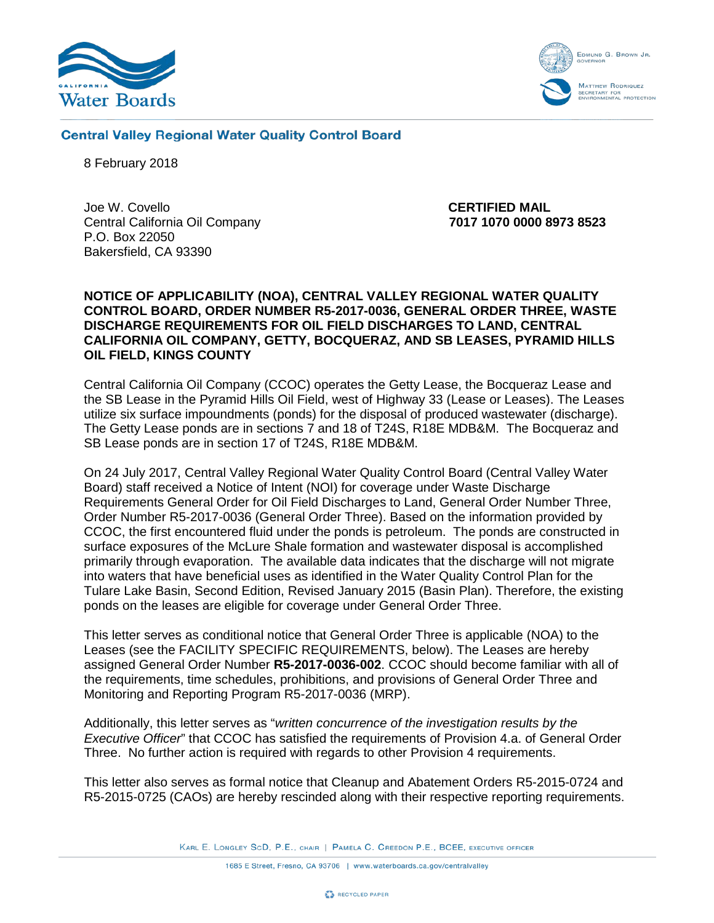



**Central Valley Regional Water Quality Control Board** 

8 February 2018

Joe W. Covello **CERTIFIED MAIL**  Central California Oil Company **7017 1070 0000 8973 8523** P.O. Box 22050 Bakersfield, CA 93390

#### **NOTICE OF APPLICABILITY (NOA), CENTRAL VALLEY REGIONAL WATER QUALITY CONTROL BOARD, ORDER NUMBER R5-2017-0036, GENERAL ORDER THREE, WASTE DISCHARGE REQUIREMENTS FOR OIL FIELD DISCHARGES TO LAND, CENTRAL CALIFORNIA OIL COMPANY, GETTY, BOCQUERAZ, AND SB LEASES, PYRAMID HILLS OIL FIELD, KINGS COUNTY**

Central California Oil Company (CCOC) operates the Getty Lease, the Bocqueraz Lease and the SB Lease in the Pyramid Hills Oil Field, west of Highway 33 (Lease or Leases). The Leases utilize six surface impoundments (ponds) for the disposal of produced wastewater (discharge). The Getty Lease ponds are in sections 7 and 18 of T24S, R18E MDB&M. The Bocqueraz and SB Lease ponds are in section 17 of T24S, R18E MDB&M.

On 24 July 2017, Central Valley Regional Water Quality Control Board (Central Valley Water Board) staff received a Notice of Intent (NOI) for coverage under Waste Discharge Requirements General Order for Oil Field Discharges to Land, General Order Number Three, Order Number R5-2017-0036 (General Order Three). Based on the information provided by CCOC, the first encountered fluid under the ponds is petroleum. The ponds are constructed in surface exposures of the McLure Shale formation and wastewater disposal is accomplished primarily through evaporation. The available data indicates that the discharge will not migrate into waters that have beneficial uses as identified in the Water Quality Control Plan for the Tulare Lake Basin, Second Edition, Revised January 2015 (Basin Plan). Therefore, the existing ponds on the leases are eligible for coverage under General Order Three.

This letter serves as conditional notice that General Order Three is applicable (NOA) to the Leases (see the FACILITY SPECIFIC REQUIREMENTS, below). The Leases are hereby assigned General Order Number **R5-2017-0036-002**. CCOC should become familiar with all of the requirements, time schedules, prohibitions, and provisions of General Order Three and Monitoring and Reporting Program R5-2017-0036 (MRP).

Additionally, this letter serves as "*written concurrence of the investigation results by the Executive Officer*" that CCOC has satisfied the requirements of Provision 4.a. of General Order Three. No further action is required with regards to other Provision 4 requirements.

This letter also serves as formal notice that Cleanup and Abatement Orders R5-2015-0724 and R5-2015-0725 (CAOs) are hereby rescinded along with their respective reporting requirements.

KARL E. LONGLEY SCD, P.E., CHAIR | PAMELA C. CREEDON P.E., BCEE, EXECUTIVE OFFICER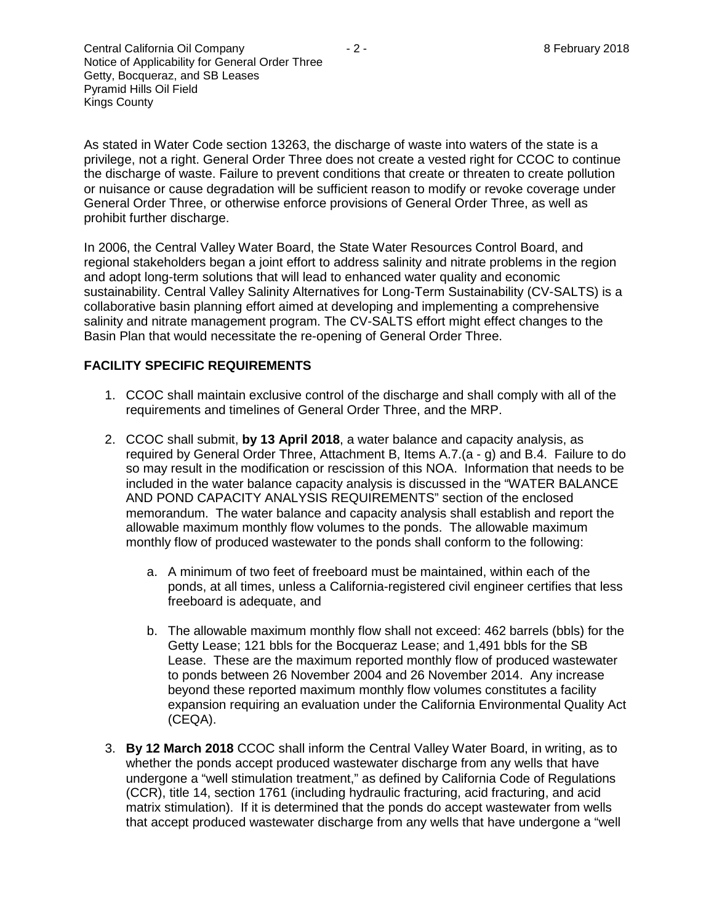As stated in Water Code section 13263, the discharge of waste into waters of the state is a privilege, not a right. General Order Three does not create a vested right for CCOC to continue the discharge of waste. Failure to prevent conditions that create or threaten to create pollution or nuisance or cause degradation will be sufficient reason to modify or revoke coverage under General Order Three, or otherwise enforce provisions of General Order Three, as well as prohibit further discharge.

In 2006, the Central Valley Water Board, the State Water Resources Control Board, and regional stakeholders began a joint effort to address salinity and nitrate problems in the region and adopt long-term solutions that will lead to enhanced water quality and economic sustainability. Central Valley Salinity Alternatives for Long-Term Sustainability (CV-SALTS) is a collaborative basin planning effort aimed at developing and implementing a comprehensive salinity and nitrate management program. The CV-SALTS effort might effect changes to the Basin Plan that would necessitate the re-opening of General Order Three.

## **FACILITY SPECIFIC REQUIREMENTS**

- 1. CCOC shall maintain exclusive control of the discharge and shall comply with all of the requirements and timelines of General Order Three, and the MRP.
- 2. CCOC shall submit, **by 13 April 2018**, a water balance and capacity analysis, as required by General Order Three, Attachment B, Items A.7.(a - g) and B.4. Failure to do so may result in the modification or rescission of this NOA. Information that needs to be included in the water balance capacity analysis is discussed in the "WATER BALANCE AND POND CAPACITY ANALYSIS REQUIREMENTS" section of the enclosed memorandum. The water balance and capacity analysis shall establish and report the allowable maximum monthly flow volumes to the ponds. The allowable maximum monthly flow of produced wastewater to the ponds shall conform to the following:
	- a. A minimum of two feet of freeboard must be maintained, within each of the ponds, at all times, unless a California-registered civil engineer certifies that less freeboard is adequate, and
	- b. The allowable maximum monthly flow shall not exceed: 462 barrels (bbls) for the Getty Lease; 121 bbls for the Bocqueraz Lease; and 1,491 bbls for the SB Lease. These are the maximum reported monthly flow of produced wastewater to ponds between 26 November 2004 and 26 November 2014. Any increase beyond these reported maximum monthly flow volumes constitutes a facility expansion requiring an evaluation under the California Environmental Quality Act (CEQA).
- 3. **By 12 March 2018** CCOC shall inform the Central Valley Water Board, in writing, as to whether the ponds accept produced wastewater discharge from any wells that have undergone a "well stimulation treatment," as defined by California Code of Regulations (CCR), title 14, section 1761 (including hydraulic fracturing, acid fracturing, and acid matrix stimulation). If it is determined that the ponds do accept wastewater from wells that accept produced wastewater discharge from any wells that have undergone a "well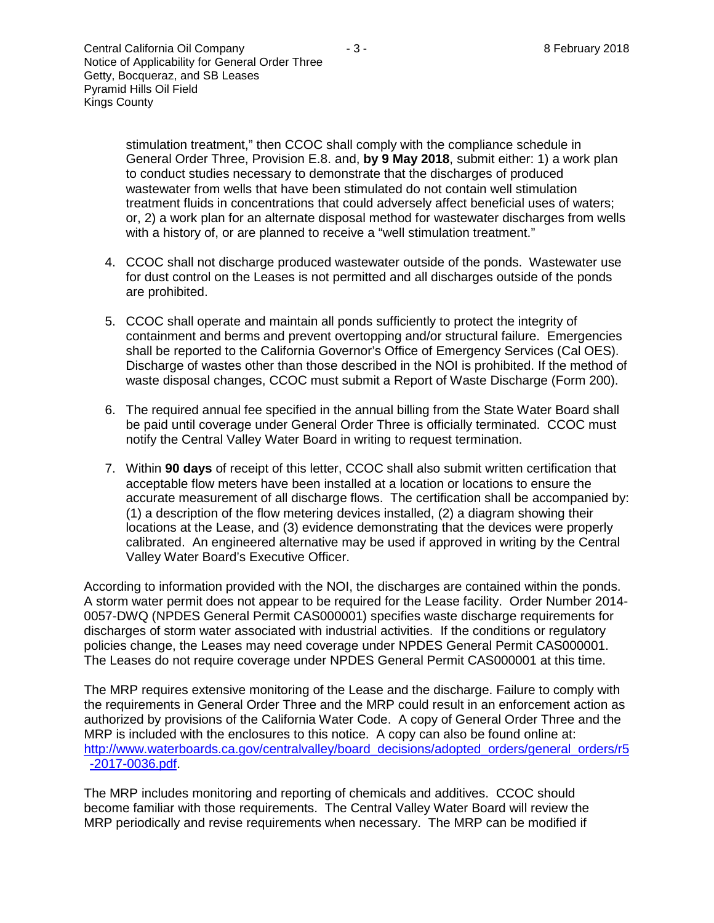stimulation treatment," then CCOC shall comply with the compliance schedule in General Order Three, Provision E.8. and, **by 9 May 2018**, submit either: 1) a work plan to conduct studies necessary to demonstrate that the discharges of produced wastewater from wells that have been stimulated do not contain well stimulation treatment fluids in concentrations that could adversely affect beneficial uses of waters; or, 2) a work plan for an alternate disposal method for wastewater discharges from wells with a history of, or are planned to receive a "well stimulation treatment."

- 4. CCOC shall not discharge produced wastewater outside of the ponds. Wastewater use for dust control on the Leases is not permitted and all discharges outside of the ponds are prohibited.
- 5. CCOC shall operate and maintain all ponds sufficiently to protect the integrity of containment and berms and prevent overtopping and/or structural failure. Emergencies shall be reported to the California Governor's Office of Emergency Services (Cal OES). Discharge of wastes other than those described in the NOI is prohibited. If the method of waste disposal changes, CCOC must submit a Report of Waste Discharge (Form 200).
- 6. The required annual fee specified in the annual billing from the State Water Board shall be paid until coverage under General Order Three is officially terminated. CCOC must notify the Central Valley Water Board in writing to request termination.
- 7. Within **90 days** of receipt of this letter, CCOC shall also submit written certification that acceptable flow meters have been installed at a location or locations to ensure the accurate measurement of all discharge flows. The certification shall be accompanied by: (1) a description of the flow metering devices installed, (2) a diagram showing their locations at the Lease, and (3) evidence demonstrating that the devices were properly calibrated. An engineered alternative may be used if approved in writing by the Central Valley Water Board's Executive Officer.

According to information provided with the NOI, the discharges are contained within the ponds. A storm water permit does not appear to be required for the Lease facility. Order Number 2014- 0057-DWQ (NPDES General Permit CAS000001) specifies waste discharge requirements for discharges of storm water associated with industrial activities. If the conditions or regulatory policies change, the Leases may need coverage under NPDES General Permit CAS000001. The Leases do not require coverage under NPDES General Permit CAS000001 at this time.

The MRP requires extensive monitoring of the Lease and the discharge. Failure to comply with the requirements in General Order Three and the MRP could result in an enforcement action as authorized by provisions of the California Water Code. A copy of General Order Three and the MRP is included with the enclosures to this notice. A copy can also be found online at: [http://www.waterboards.ca.gov/centralvalley/board\\_decisions/adopted\\_orders/general\\_orders/r5](http://www.waterboards.ca.gov/centralvalley/board_decisions/adopted_orders/general_orders/r5-2017-0036.pdf) [-2017-0036.pdf.](http://www.waterboards.ca.gov/centralvalley/board_decisions/adopted_orders/general_orders/r5-2017-0036.pdf)

The MRP includes monitoring and reporting of chemicals and additives. CCOC should become familiar with those requirements. The Central Valley Water Board will review the MRP periodically and revise requirements when necessary. The MRP can be modified if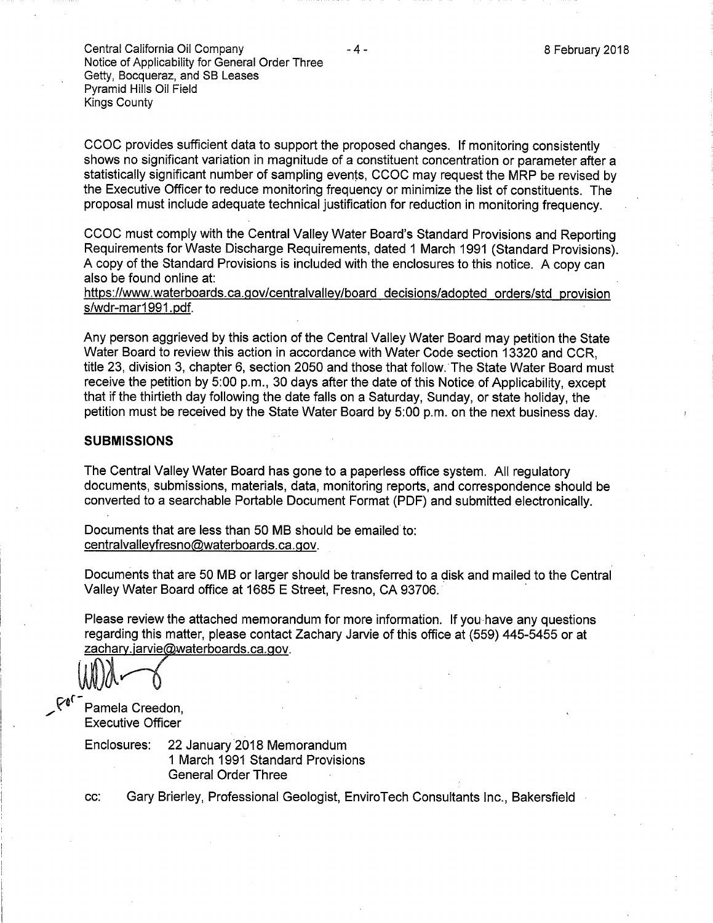Central California Oil Company Notice of Applicability for General Order Three Getty, Bocqueraz, and SB Leases Pyramid Hills Oil Field **Kings County** 

CCOC provides sufficient data to support the proposed changes. If monitoring consistently shows no significant variation in magnitude of a constituent concentration or parameter after a statistically significant number of sampling events, CCOC may request the MRP be revised by the Executive Officer to reduce monitoring frequency or minimize the list of constituents. The proposal must include adequate technical justification for reduction in monitoring frequency.

CCOC must comply with the Central Valley Water Board's Standard Provisions and Reporting Requirements for Waste Discharge Requirements, dated 1 March 1991 (Standard Provisions). A copy of the Standard Provisions is included with the enclosures to this notice. A copy can also be found online at:

https://www.waterboards.ca.gov/centralvalley/board\_decisions/adopted\_orders/std\_provision s/wdr-mar1991.pdf.

Any person aggrieved by this action of the Central Valley Water Board may petition the State Water Board to review this action in accordance with Water Code section 13320 and CCR. title 23, division 3, chapter 6, section 2050 and those that follow. The State Water Board must receive the petition by 5:00 p.m., 30 days after the date of this Notice of Applicability, except that if the thirtieth day following the date falls on a Saturday, Sunday, or state holiday, the petition must be received by the State Water Board by 5:00 p.m. on the next business day.

#### **SUBMISSIONS**

The Central Valley Water Board has gone to a paperless office system. All regulatory documents, submissions, materials, data, monitoring reports, and correspondence should be converted to a searchable Portable Document Format (PDF) and submitted electronically.

Documents that are less than 50 MB should be emailed to: centralvalleyfresno@waterboards.ca.gov.

Documents that are 50 MB or larger should be transferred to a disk and mailed to the Central Valley Water Board office at 1685 E Street, Fresno, CA 93706.

Please review the attached memorandum for more information. If you have any questions regarding this matter, please contact Zachary Jarvie of this office at (559) 445-5455 or at zachary.jarvie@waterboards.ca.gov.

Pamela Creedon, **Executive Officer** 

Enclosures: 22 January 2018 Memorandum 1 March 1991 Standard Provisions **General Order Three** 

Gary Brierley, Professional Geologist, EnviroTech Consultants Inc., Bakersfield CC:

8 February 2018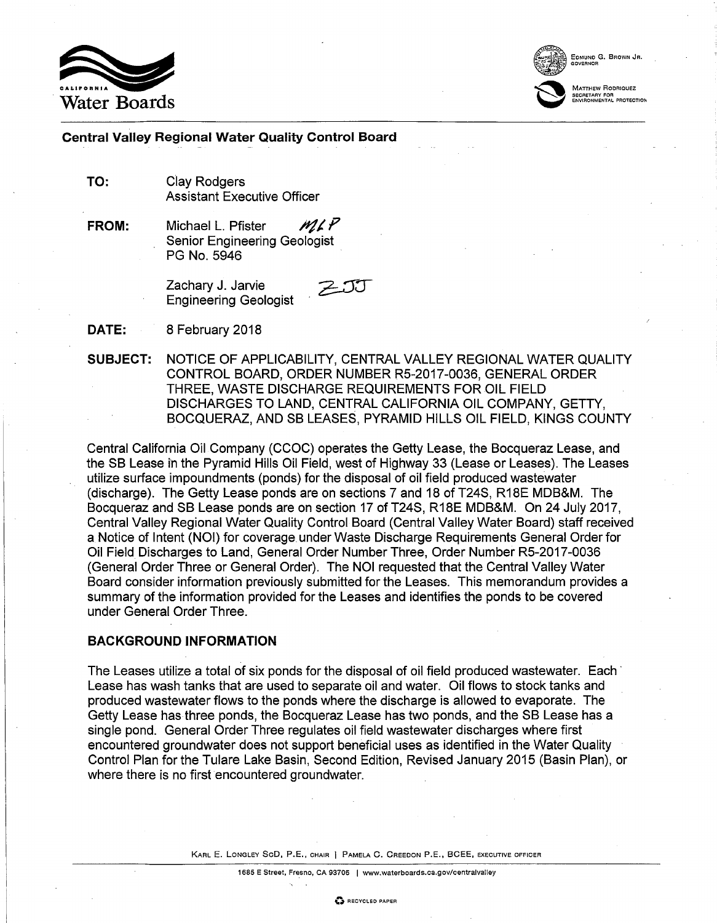



FOMUND G. BROWN JR

MATTHEW RODBIOUEZ ...<br>SECRETARY FOR<br>ENVIRONMENTAL PROTECTIOI

#### **Central Valley Regional Water Quality Control Board**

TO: **Clay Rodgers Assistant Executive Officer** 

ML P FROM: Michael L. Pfister **Senior Engineering Geologist** PG No. 5946

> Zachary J. Jarvie **Engineering Geologist**

DATE: 8 February 2018

**SUBJECT:** NOTICE OF APPLICABILITY, CENTRAL VALLEY REGIONAL WATER QUALITY CONTROL BOARD, ORDER NUMBER R5-2017-0036, GENERAL ORDER THREE, WASTE DISCHARGE REQUIREMENTS FOR OIL FIELD DISCHARGES TO LAND, CENTRAL CALIFORNIA OIL COMPANY, GETTY, BOCQUERAZ, AND SB LEASES, PYRAMID HILLS OIL FIELD, KINGS COUNTY

Central California Oil Company (CCOC) operates the Getty Lease, the Bocqueraz Lease, and the SB Lease in the Pyramid Hills Oil Field, west of Highway 33 (Lease or Leases). The Leases utilize surface impoundments (ponds) for the disposal of oil field produced wastewater (discharge). The Getty Lease ponds are on sections 7 and 18 of T24S, R18E MDB&M. The Bocqueraz and SB Lease ponds are on section 17 of T24S, R18E MDB&M. On 24 July 2017, Central Valley Regional Water Quality Control Board (Central Valley Water Board) staff received a Notice of Intent (NOI) for coverage under Waste Discharge Requirements General Order for Oil Field Discharges to Land, General Order Number Three, Order Number R5-2017-0036 (General Order Three or General Order). The NOI requested that the Central Valley Water Board consider information previously submitted for the Leases. This memorandum provides a summary of the information provided for the Leases and identifies the ponds to be covered under General Order Three.

#### **BACKGROUND INFORMATION**

The Leases utilize a total of six ponds for the disposal of oil field produced wastewater. Each Lease has wash tanks that are used to separate oil and water. Oil flows to stock tanks and produced wastewater flows to the ponds where the discharge is allowed to evaporate. The Getty Lease has three ponds, the Bocqueraz Lease has two ponds, and the SB Lease has a single pond. General Order Three regulates oil field wastewater discharges where first encountered groundwater does not support beneficial uses as identified in the Water Quality Control Plan for the Tulare Lake Basin, Second Edition, Revised January 2015 (Basin Plan), or where there is no first encountered groundwater.

KARL E. LONGLEY SCD, P.E., CHAIR | PAMELA C. CREEDON P.E., BCEE, EXECUTIVE OFFICER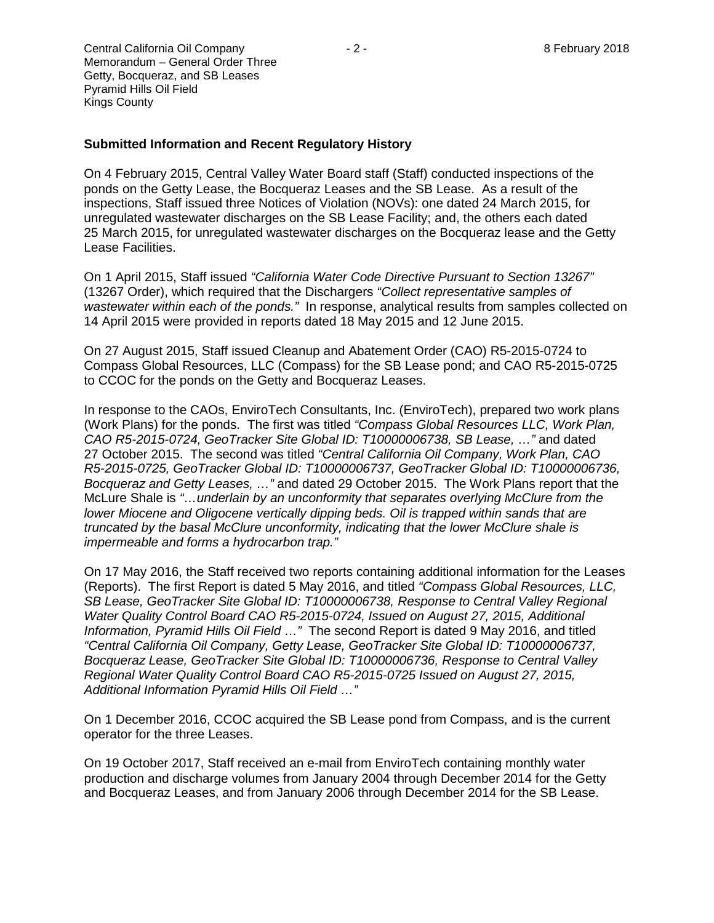Central California Oil Company  $\overline{a}$  - 2 - 8 February 2018 Memorandum – General Order Three Getty, Bocqueraz, and SB Leases Pyramid Hills Oil Field Kings County

#### **Submitted Information and Recent Regulatory History**

On 4 February 2015, Central Valley Water Board staff (Staff) conducted inspections of the ponds on the Getty Lease, the Bocqueraz Leases and the SB Lease. As a result of the inspections, Staff issued three Notices of Violation (NOVs): one dated 24 March 2015, for unregulated wastewater discharges on the SB Lease Facility; and, the others each dated 25 March 2015, for unregulated wastewater discharges on the Bocqueraz lease and the Getty Lease Facilities.

On 1 April 2015, Staff issued *"California Water Code Directive Pursuant to Section 13267"* (13267 Order), which required that the Dischargers *"Collect representative samples of wastewater within each of the ponds."* In response, analytical results from samples collected on 14 April 2015 were provided in reports dated 18 May 2015 and 12 June 2015.

On 27 August 2015, Staff issued Cleanup and Abatement Order (CAO) R5-2015-0724 to Compass Global Resources, LLC (Compass) for the SB Lease pond; and CAO R5-2015-0725 to CCOC for the ponds on the Getty and Bocqueraz Leases.

In response to the CAOs, EnviroTech Consultants, Inc. (EnviroTech), prepared two work plans (Work Plans) for the ponds. The first was titled *"Compass Global Resources LLC, Work Plan, CAO R5-2015-0724, GeoTracker Site Global ID: T10000006738, SB Lease, …"* and dated 27 October 2015. The second was titled *"Central California Oil Company, Work Plan, CAO R5-2015-0725, GeoTracker Global ID: T10000006737, GeoTracker Global ID: T10000006736, Bocqueraz and Getty Leases, …"* and dated 29 October 2015. The Work Plans report that the McLure Shale is *"…underlain by an unconformity that separates overlying McClure from the lower Miocene and Oligocene vertically dipping beds. Oil is trapped within sands that are truncated by the basal McClure unconformity, indicating that the lower McClure shale is impermeable and forms a hydrocarbon trap."*

On 17 May 2016, the Staff received two reports containing additional information for the Leases (Reports). The first Report is dated 5 May 2016, and titled *"Compass Global Resources, LLC, SB Lease, GeoTracker Site Global ID: T10000006738, Response to Central Valley Regional Water Quality Control Board CAO R5-2015-0724, Issued on August 27, 2015, Additional Information, Pyramid Hills Oil Field …"* The second Report is dated 9 May 2016, and titled *"Central California Oil Company, Getty Lease, GeoTracker Site Global ID: T10000006737, Bocqueraz Lease, GeoTracker Site Global ID: T10000006736, Response to Central Valley Regional Water Quality Control Board CAO R5-2015-0725 Issued on August 27, 2015, Additional Information Pyramid Hills Oil Field …"*

On 1 December 2016, CCOC acquired the SB Lease pond from Compass, and is the current operator for the three Leases.

On 19 October 2017, Staff received an e-mail from EnviroTech containing monthly water production and discharge volumes from January 2004 through December 2014 for the Getty and Bocqueraz Leases, and from January 2006 through December 2014 for the SB Lease.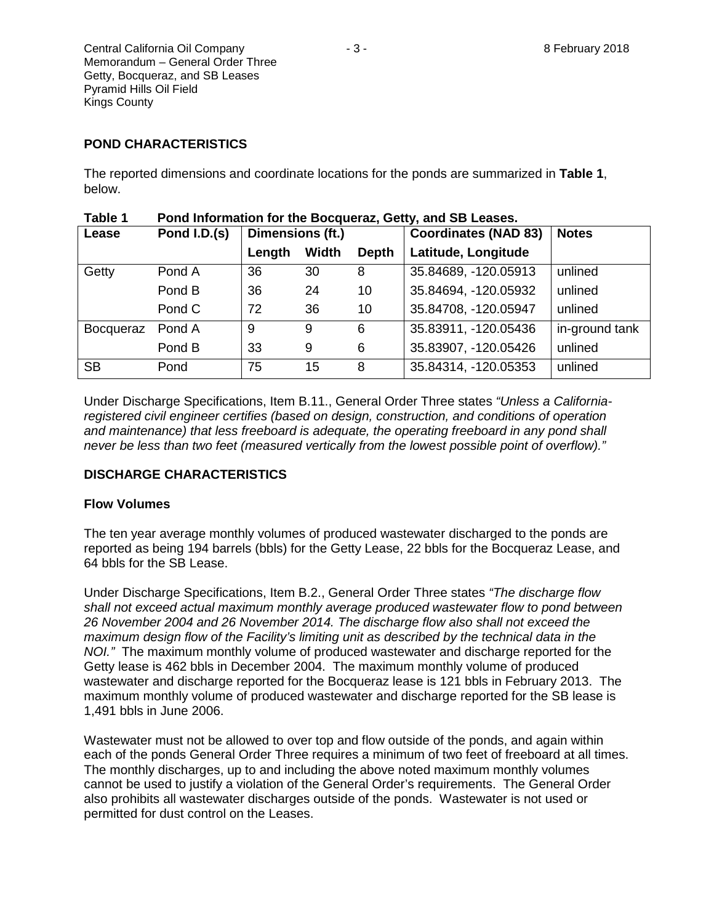Central California Oil Company  $-3$  -  $-3$  - 8 February 2018 Memorandum – General Order Three Getty, Bocqueraz, and SB Leases Pyramid Hills Oil Field Kings County

## **POND CHARACTERISTICS**

The reported dimensions and coordinate locations for the ponds are summarized in **Table 1**, below.

| lavic I   | Pond information for the Bocqueraz, Getty, and SD Leases. |                  |       |              |                             |                |  |
|-----------|-----------------------------------------------------------|------------------|-------|--------------|-----------------------------|----------------|--|
| Lease     | Pond I.D.(s)                                              | Dimensions (ft.) |       |              | <b>Coordinates (NAD 83)</b> | <b>Notes</b>   |  |
|           |                                                           | Length           | Width | <b>Depth</b> | Latitude, Longitude         |                |  |
| Getty     | Pond A                                                    | 36               | 30    | 8            | 35.84689, -120.05913        | unlined        |  |
|           | Pond B                                                    | 36               | 24    | 10           | 35.84694, -120.05932        | unlined        |  |
|           | Pond C                                                    | 72               | 36    | 10           | 35.84708, -120.05947        | unlined        |  |
| Bocqueraz | Pond A                                                    | 9                | 9     | 6            | 35.83911, -120.05436        | in-ground tank |  |
|           | Pond B                                                    | 33               | 9     | 6            | 35.83907, -120.05426        | unlined        |  |
| <b>SB</b> | Pond                                                      | 75               | 15    | 8            | 35.84314, -120.05353        | unlined        |  |

| Table 1 | Pond Information for the Bocqueraz, Getty, and SB Leases. |
|---------|-----------------------------------------------------------|
|---------|-----------------------------------------------------------|

Under Discharge Specifications, Item B.11., General Order Three states *"Unless a Californiaregistered civil engineer certifies (based on design, construction, and conditions of operation and maintenance) that less freeboard is adequate, the operating freeboard in any pond shall never be less than two feet (measured vertically from the lowest possible point of overflow)."*

### **DISCHARGE CHARACTERISTICS**

#### **Flow Volumes**

The ten year average monthly volumes of produced wastewater discharged to the ponds are reported as being 194 barrels (bbls) for the Getty Lease, 22 bbls for the Bocqueraz Lease, and 64 bbls for the SB Lease.

Under Discharge Specifications, Item B.2., General Order Three states *"The discharge flow shall not exceed actual maximum monthly average produced wastewater flow to pond between 26 November 2004 and 26 November 2014. The discharge flow also shall not exceed the maximum design flow of the Facility's limiting unit as described by the technical data in the NOI."* The maximum monthly volume of produced wastewater and discharge reported for the Getty lease is 462 bbls in December 2004. The maximum monthly volume of produced wastewater and discharge reported for the Bocqueraz lease is 121 bbls in February 2013. The maximum monthly volume of produced wastewater and discharge reported for the SB lease is 1,491 bbls in June 2006.

Wastewater must not be allowed to over top and flow outside of the ponds, and again within each of the ponds General Order Three requires a minimum of two feet of freeboard at all times. The monthly discharges, up to and including the above noted maximum monthly volumes cannot be used to justify a violation of the General Order's requirements. The General Order also prohibits all wastewater discharges outside of the ponds. Wastewater is not used or permitted for dust control on the Leases.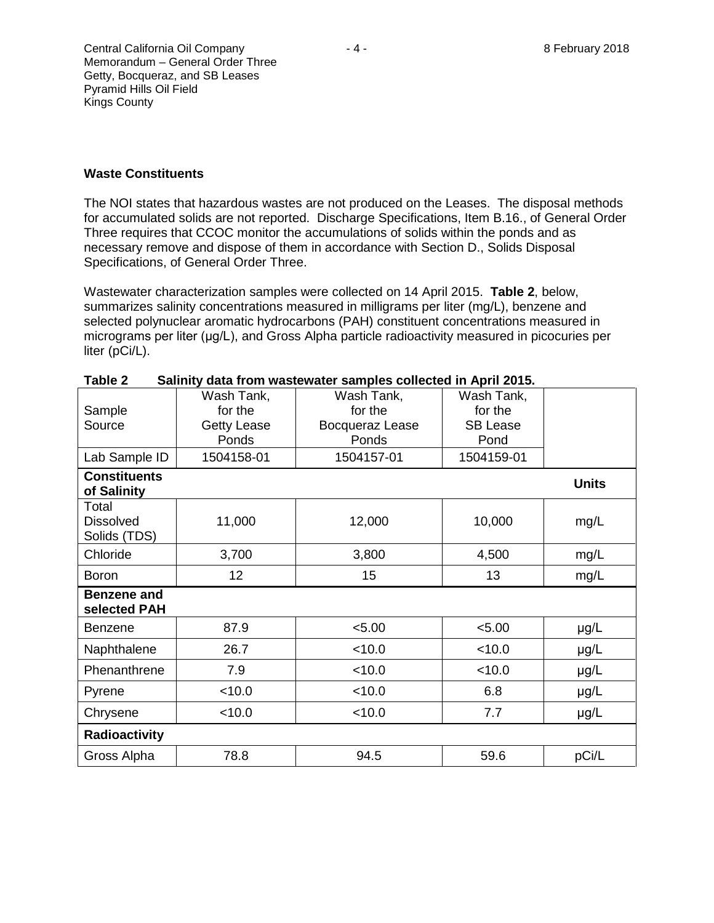The NOI states that hazardous wastes are not produced on the Leases. The disposal methods for accumulated solids are not reported. Discharge Specifications, Item B.16., of General Order Three requires that CCOC monitor the accumulations of solids within the ponds and as necessary remove and dispose of them in accordance with Section D., Solids Disposal Specifications, of General Order Three.

Wastewater characterization samples were collected on 14 April 2015. **Table 2**, below, summarizes salinity concentrations measured in milligrams per liter (mg/L), benzene and selected polynuclear aromatic hydrocarbons (PAH) constituent concentrations measured in micrograms per liter (μg/L), and Gross Alpha particle radioactivity measured in picocuries per liter (pCi/L).

| Sample                                    | Wash Tank,<br>for the | Wash Tank,<br>for the    | Wash Tank,<br>for the |              |  |  |
|-------------------------------------------|-----------------------|--------------------------|-----------------------|--------------|--|--|
| Source                                    | <b>Getty Lease</b>    | Bocqueraz Lease<br>Ponds | <b>SB Lease</b>       |              |  |  |
| Lab Sample ID                             | Ponds<br>1504158-01   | 1504157-01               | Pond<br>1504159-01    |              |  |  |
| <b>Constituents</b><br>of Salinity        |                       |                          |                       | <b>Units</b> |  |  |
| Total<br><b>Dissolved</b><br>Solids (TDS) | 11,000                | 12,000                   | 10,000                | mg/L         |  |  |
| Chloride                                  | 3,700                 | 3,800                    | 4,500                 | mg/L         |  |  |
| <b>Boron</b>                              | 12 <sub>2</sub>       | 15                       | 13                    | mg/L         |  |  |
| <b>Benzene and</b><br>selected PAH        |                       |                          |                       |              |  |  |
| Benzene                                   | 87.9                  | < 5.00                   | < 5.00                | µg/L         |  |  |
| Naphthalene                               | 26.7                  | < 10.0                   | < 10.0                | µg/L         |  |  |
| Phenanthrene                              | 7.9                   | < 10.0                   | < 10.0                | µg/L         |  |  |
| Pyrene                                    | < 10.0                | < 10.0                   | 6.8                   | µg/L         |  |  |
| Chrysene                                  | < 10.0                | < 10.0                   | 7.7                   | µg/L         |  |  |
| Radioactivity                             |                       |                          |                       |              |  |  |
| Gross Alpha                               | 78.8                  | 94.5                     | 59.6                  | pCi/L        |  |  |

| Table 2 |  |  | Salinity data from wastewater samples collected in April 2015. |  |  |  |
|---------|--|--|----------------------------------------------------------------|--|--|--|
|---------|--|--|----------------------------------------------------------------|--|--|--|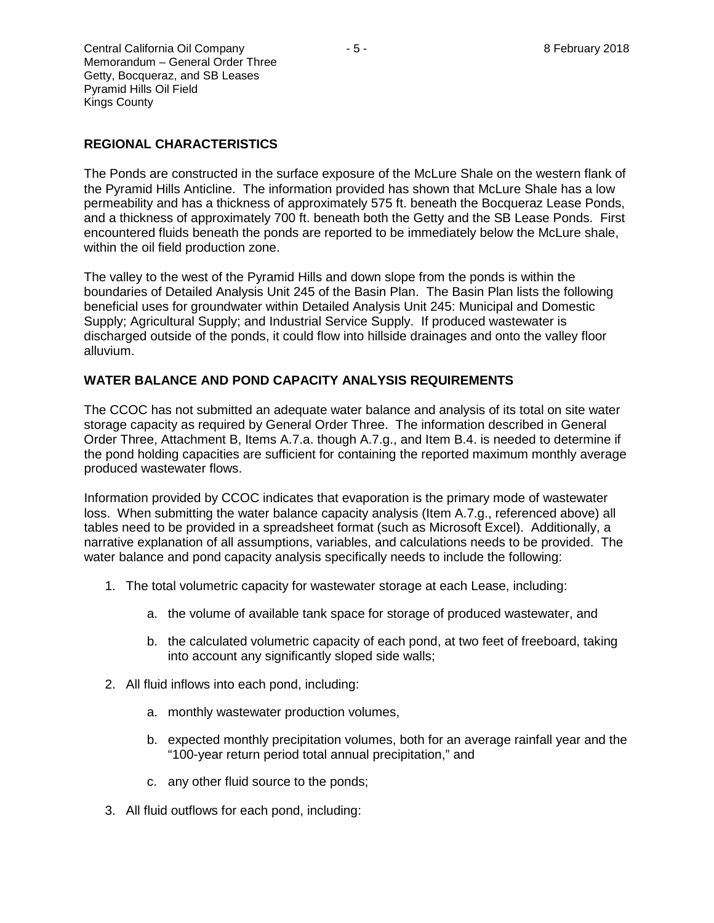Central California Oil Company  $-5 -$  8 February 2018 Memorandum – General Order Three Getty, Bocqueraz, and SB Leases Pyramid Hills Oil Field Kings County

# **REGIONAL CHARACTERISTICS**

The Ponds are constructed in the surface exposure of the McLure Shale on the western flank of the Pyramid Hills Anticline. The information provided has shown that McLure Shale has a low permeability and has a thickness of approximately 575 ft. beneath the Bocqueraz Lease Ponds, and a thickness of approximately 700 ft. beneath both the Getty and the SB Lease Ponds. First encountered fluids beneath the ponds are reported to be immediately below the McLure shale, within the oil field production zone.

The valley to the west of the Pyramid Hills and down slope from the ponds is within the boundaries of Detailed Analysis Unit 245 of the Basin Plan. The Basin Plan lists the following beneficial uses for groundwater within Detailed Analysis Unit 245: Municipal and Domestic Supply; Agricultural Supply; and Industrial Service Supply. If produced wastewater is discharged outside of the ponds, it could flow into hillside drainages and onto the valley floor alluvium.

## **WATER BALANCE AND POND CAPACITY ANALYSIS REQUIREMENTS**

The CCOC has not submitted an adequate water balance and analysis of its total on site water storage capacity as required by General Order Three. The information described in General Order Three, Attachment B, Items A.7.a. though A.7.g., and Item B.4. is needed to determine if the pond holding capacities are sufficient for containing the reported maximum monthly average produced wastewater flows.

Information provided by CCOC indicates that evaporation is the primary mode of wastewater loss. When submitting the water balance capacity analysis (Item A.7.g., referenced above) all tables need to be provided in a spreadsheet format (such as Microsoft Excel). Additionally, a narrative explanation of all assumptions, variables, and calculations needs to be provided. The water balance and pond capacity analysis specifically needs to include the following:

- 1. The total volumetric capacity for wastewater storage at each Lease, including:
	- a. the volume of available tank space for storage of produced wastewater, and
	- b. the calculated volumetric capacity of each pond, at two feet of freeboard, taking into account any significantly sloped side walls;
- 2. All fluid inflows into each pond, including:
	- a. monthly wastewater production volumes,
	- b. expected monthly precipitation volumes, both for an average rainfall year and the "100-year return period total annual precipitation," and
	- c. any other fluid source to the ponds;
- 3. All fluid outflows for each pond, including: